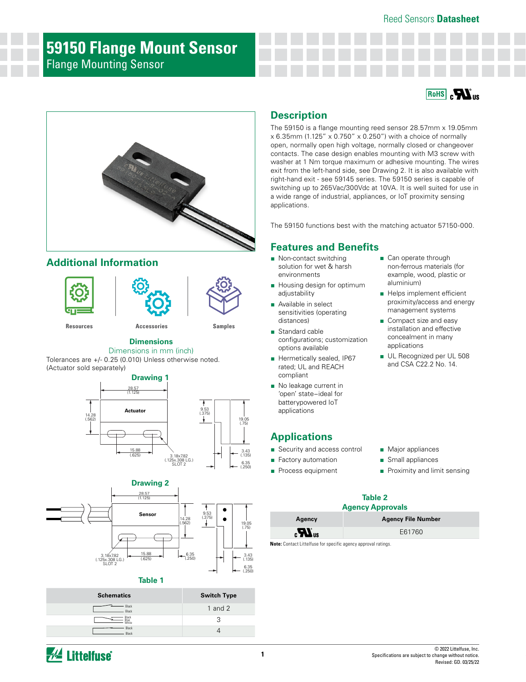# **59150 Flange Mount Sensor** Flange Mounting Sensor





# **Additional Information**





**[Resources](https://www.littelfuse.com/products/magnetic-sensors-and-reed-switches/reed-sensors/59150#TechnicalResources) [Accessories](https://www.littelfuse.com/products/magnetic-sensors-and-reed-switches/reed-sensors/59150#EnvironmentalInfo) [Samples](https://www.littelfuse.com/products/magnetic-sensors-and-reed-switches/reed-sensors/59150#ElectricalCharacteristics)**

#### **Dimensions**

Dimensions in mm (inch)

Tolerances are +/- 0.25 (0.010) Unless otherwise noted. (Actuator sold separately)





#### **Table 1**

| <b>Schematics</b>       | <b>Switch Type</b> |
|-------------------------|--------------------|
| Black<br>Black          | $1$ and $2$        |
| Black<br>Blue<br>'White | Q                  |
| Black<br><b>Black</b>   |                    |

### **Description**

The 59150 is a flange mounting reed sensor 28.57mm x 19.05mm  $x$  6.35mm (1.125"  $x$  0.750"  $x$  0.250") with a choice of normally open, normally open high voltage, normally closed or changeover contacts. The case design enables mounting with M3 screw with washer at 1 Nm torque maximum or adhesive mounting. The wires exit from the left-hand side, see Drawing 2. It is also available with right-hand exit - see 59145 series. The 59150 series is capable of switching up to 265Vac/300Vdc at 10VA. It is well suited for use in a wide range of industrial, appliances, or IoT proximity sensing applications.

The 59150 functions best with the matching actuator 57150-000.

### **Features and Benefits**

- Non-contact switching solution for wet & harsh environments
- Housing design for optimum adjustability
- Available in select sensitivities (operating distances)
- Standard cable configurations; customization options available
- Hermetically sealed, IP67 rated; UL and REACH compliant
- No leakage current in 'open' state−ideal for batterypowered IoT applications

## **Applications**

- Security and access control
- Factory automation
- Process equipment
- **Table 2**

### **Agency Approvals**

| Agency                         | <b>Agency File Number</b> |
|--------------------------------|---------------------------|
| $\boldsymbol{H}$ <sub>us</sub> | E61760                    |

**Note:** Contact Littelfuse for specific agency approval ratings.

- Can operate through non-ferrous materials (for example, wood, plastic or aluminium)
- Helps implement efficient proximity/access and energy management systems
- Compact size and easy installation and effective concealment in many applications
- UL Recognized per UL 508 and CSA C22.2 No. 14.

■ Major appliances ■ Small appliances

■ Proximity and limit sensing

**W** Littelfuse®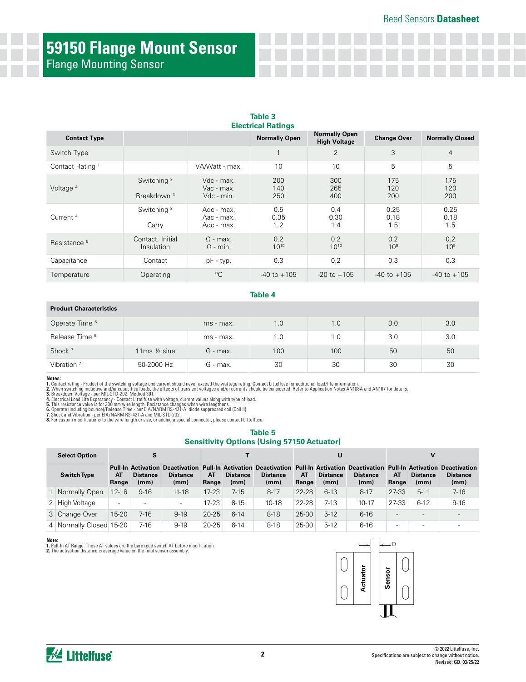# **59150 Flange Mount Sensor** Flange Mounting Sensor

| <b>Contact Type</b>         |                                                  |                                        | <b>Normally Open</b> | <b>Normally Open</b><br><b>High Voltage</b> | <b>Change Over</b>     | <b>Normally Closed</b> |
|-----------------------------|--------------------------------------------------|----------------------------------------|----------------------|---------------------------------------------|------------------------|------------------------|
| Switch Type                 |                                                  |                                        |                      | $\overline{2}$                              | 3                      | $\overline{4}$         |
| Contact Rating <sup>1</sup> |                                                  | VA/Watt - max.                         | 10                   | 10                                          | 5                      | 5                      |
| Voltage $4$                 | Switching <sup>2</sup><br>Breakdown <sup>3</sup> | Vdc - max.<br>Vac - max.<br>Vdc - min. | 200<br>140<br>250    | 300<br>265<br>400                           | 175<br>120<br>200      | 175<br>120<br>200      |
| Current <sup>4</sup>        | Switching <sup>2</sup><br>Carry                  | Adc - max.<br>Aac - max.<br>Adc - max. | 0.5<br>0.35<br>1.2   | 0.4<br>0.30<br>1.4                          | 0.25<br>0.18<br>1.5    | 0.25<br>0.18<br>1.5    |
| Resistance <sup>5</sup>     | Contact, Initial<br>Insulation                   | $\Omega$ - max.<br>$\Omega$ - min.     | 0.2<br>$10^{10}$     | 0.2<br>$10^{10}$                            | 0.2<br>10 <sup>9</sup> | 0.2<br>10 <sup>9</sup> |
| Capacitance                 | Contact                                          | pF - typ.                              | 0.3                  | 0.2                                         | 0.3                    | 0.3                    |
| Temperature                 | Operating                                        | $^{\circ}C$                            | $-40$ to $+105$      | $-20$ to $+105$                             | $-40$ to $+105$        | $-40$ to $+105$        |

# **Table 3**

#### **Table 4**

#### **Product Characteristics**

| Operate Time <sup>6</sup> |                            | ms - max.  | 1.0 | 1.0 | 3.0 | 3.0 |
|---------------------------|----------------------------|------------|-----|-----|-----|-----|
| Release Time <sup>6</sup> |                            | ms - max.  | 1.0 | 1.0 | 3.0 | 3.0 |
| Shock <sup>7</sup>        | 11 $ms$ $\frac{1}{2}$ sine | $G$ - max. | 100 | 100 | 50  | 50  |
| Vibration $7$             | 50-2000 Hz                 | G - max.   | 30  | 30  | 30  | 30  |

**Notes:**<br>2. Ocntact rating - Product of the switching voltage and current should never exceed the wattage rating. Contact Littelfuse for additional load/life information.<br>2. When switching inductive and/or capacitive loads

#### **Table 5 Sensitivity Options (Using 57150 Actuator)**

| <b>Select Option</b>    |                          | S                       |                                                                                                                                                            |             |                         |                         |             | U                       |                         |                          | v                        |                          |
|-------------------------|--------------------------|-------------------------|------------------------------------------------------------------------------------------------------------------------------------------------------------|-------------|-------------------------|-------------------------|-------------|-------------------------|-------------------------|--------------------------|--------------------------|--------------------------|
| <b>Switch Type</b>      | AT<br>Range              | <b>Distance</b><br>(mm) | Pull-In Activation Deactivation Pull-In Activation Deactivation Pull-In Activation Deactivation Pull-In Activation Deactivation<br><b>Distance</b><br>(mm) | AT<br>Range | <b>Distance</b><br>(mm) | <b>Distance</b><br>(mm) | AT<br>Range | <b>Distance</b><br>(mm) | <b>Distance</b><br>(mm) | AT<br>Range              | <b>Distance</b><br>(mm)  | <b>Distance</b><br>(mm)  |
| 1 Normally Open         | $12 - 18$                | $9 - 16$                | $11 - 18$                                                                                                                                                  | $17 - 23$   | 7-15                    | $8 - 17$                | 22-28       | $6-13$                  | $8 - 17$                | 27-33                    | $5 - 11$                 | $7 - 16$                 |
| 2 High Voltage          | $\overline{\phantom{0}}$ |                         | $\overline{\phantom{a}}$                                                                                                                                   | $17-23$     | $8 - 15$                | $10 - 18$               | 22-28       | $7-13$                  | $10 - 17$               | 27-33                    | $6-12$                   | $9 - 16$                 |
| 3 Change Over           | $15 - 20$                | 7-16                    | $9 - 19$                                                                                                                                                   | $20 - 25$   | $6 - 14$                | $8-18$                  | 25-30       | $5-12$                  | $6 - 16$                |                          |                          |                          |
| 4 Normally Closed 15-20 |                          | 7-16                    | $9 - 19$                                                                                                                                                   | $20 - 25$   | $6 - 14$                | $8-18$                  | 25-30       | $5-12$                  | $6 - 16$                | $\overline{\phantom{a}}$ | $\overline{\phantom{0}}$ | $\overline{\phantom{0}}$ |

**Note:**<br>1. Pull-In AT Range: These AT values are the bare reed switch AT before modification.<br>**2.** The activation distance is average value on the final sensor assembly.